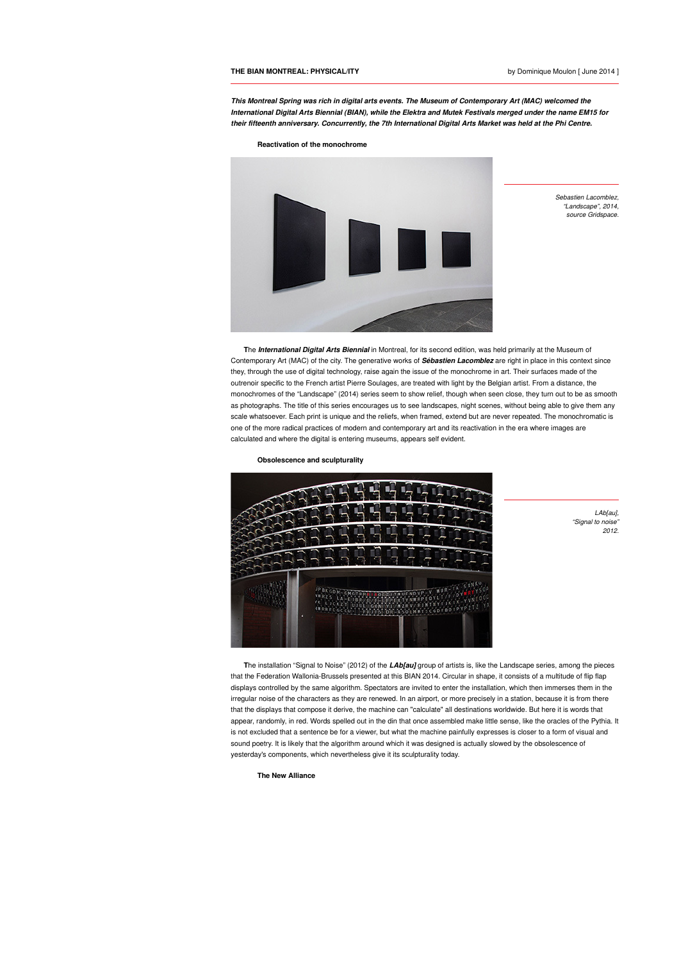**This Montreal Spring was rich in digital arts events. The Museum of Contemporary Art (MAC) welcomed the International Digital Arts Biennial (BIAN), while the Elektra and Mutek Festivals merged under the name EM15 for their fifteenth anniversary. Concurrently, the 7th International Digital Arts Market was held at the Phi Centre.**





Sebastien Lacomblez, "Landscape", 2014, source Gridspace.

**T**he **International Digital Arts Biennial** in Montreal, for its second edition, was held primarily at the Museum of Contemporary Art (MAC) of the city. The generative works of **Sébastien Lacomblez** are right in place in this context since they, through the use of digital technology, raise again the issue of the monochrome in art. Their surfaces made of the outrenoir specific to the French artist Pierre Soulages, are treated with light by the Belgian artist. From a distance, the monochromes of the "Landscape" (2014) series seem to show relief, though when seen close, they turn out to be as smooth as photographs. The title of this series encourages us to see landscapes, night scenes, without being able to give them any scale whatsoever. Each print is unique and the reliefs, when framed, extend but are never repeated. The monochromatic is one of the more radical practices of modern and contemporary art and its reactivation in the era where images are calculated and where the digital is entering museums, appears self evident.

**Obsolescence and sculpturality**



LAb[au], "Signal to noise" 2012.

**The installation "Signal to Noise" (2012) of the <b>LAbfaul** group of artists is, like the Landscape series, among the pieces that the Federation Wallonia-Brussels presented at this BIAN 2014. Circular in shape, it consists of a multitude of flip flap displays controlled by the same algorithm. Spectators are invited to enter the installation, which then immerses them in the irregular noise of the characters as they are renewed. In an airport, or more precisely in a station, because it is from there that the displays that compose it derive, the machine can "calculate" all destinations worldwide. But here it is words that appear, randomly, in red. Words spelled out in the din that once assembled make little sense, like the oracles of the Pythia. It is not excluded that a sentence be for a viewer, but what the machine painfully expresses is closer to a form of visual and sound poetry. It is likely that the algorithm around which it was designed is actually slowed by the obsolescence of yesterday's components, which nevertheless give it its sculpturality today.

**The New Alliance**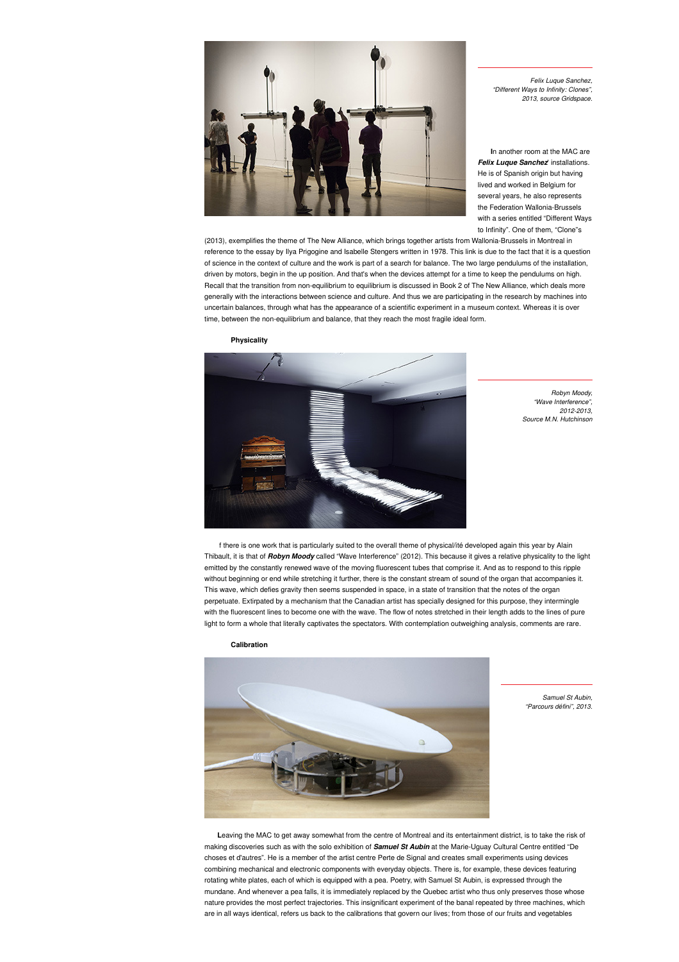

Felix Luque Sanchez, "Different Ways to Infinity: Clones", 2013, source Gridspace.

**I**n another room at the MAC are **Felix Luque Sanchez**' installations. He is of Spanish origin but having lived and worked in Belgium for several years, he also represents the Federation Wallonia-Brussels with a series entitled "Different Ways to Infinity". One of them, "Clone"s

(2013), exemplifies the theme of The New Alliance, which brings together artists from Wallonia-Brussels in Montreal in reference to the essay by Ilya Prigogine and Isabelle Stengers written in 1978. This link is due to the fact that it is a question of science in the context of culture and the work is part of a search for balance. The two large pendulums of the installation, driven by motors, begin in the up position. And that's when the devices attempt for a time to keep the pendulums on high. Recall that the transition from non-equilibrium to equilibrium is discussed in Book 2 of The New Alliance, which deals more generally with the interactions between science and culture. And thus we are participating in the research by machines into uncertain balances, through what has the appearance of a scientific experiment in a museum context. Whereas it is over time, between the non-equilibrium and balance, that they reach the most fragile ideal form.

**Physicality**



Robyn Moody, "Wave Interference", 2012-2013, Source M.N. Hutchinson

f there is one work that is particularly suited to the overall theme of physical/ité developed again this year by Alain Thibault, it is that of **Robyn Moody** called "Wave Interference" (2012). This because it gives a relative physicality to the light emitted by the constantly renewed wave of the moving fluorescent tubes that comprise it. And as to respond to this ripple without beginning or end while stretching it further, there is the constant stream of sound of the organ that accompanies it. This wave, which defies gravity then seems suspended in space, in a state of transition that the notes of the organ perpetuate. Extirpated by a mechanism that the Canadian artist has specially designed for this purpose, they intermingle with the fluorescent lines to become one with the wave. The flow of notes stretched in their length adds to the lines of pure light to form a whole that literally captivates the spectators. With contemplation outweighing analysis, comments are rare.

**Calibration**



Samuel St Aubin, "Parcours défini", 2013.

Leaving the MAC to get away somewhat from the centre of Montreal and its entertainment district, is to take the risk of making discoveries such as with the solo exhibition of **Samuel St Aubin** at the Marie-Uguay Cultural Centre entitled "De choses et d'autres". He is a member of the artist centre Perte de Signal and creates small experiments using devices combining mechanical and electronic components with everyday objects. There is, for example, these devices featuring rotating white plates, each of which is equipped with a pea. Poetry, with Samuel St Aubin, is expressed through the mundane. And whenever a pea falls, it is immediately replaced by the Quebec artist who thus only preserves those whose nature provides the most perfect trajectories. This insignificant experiment of the banal repeated by three machines, which are in all ways identical, refers us back to the calibrations that govern our lives; from those of our fruits and vegetables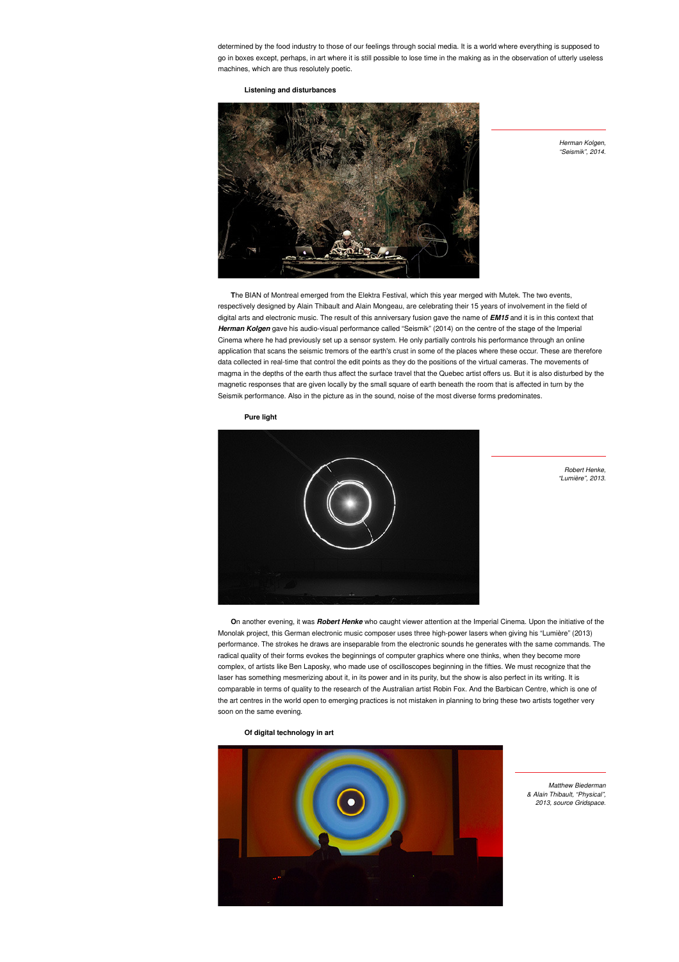determined by the food industry to those of our feelings through social media. It is a world where everything is supposed to go in boxes except, perhaps, in art where it is still possible to lose time in the making as in the observation of utterly useless machines, which are thus resolutely poetic.

## **Listening and disturbances**



Herman Kolgen, "Seismik", 2014.

**T**he BIAN of Montreal emerged from the Elektra Festival, which this year merged with Mutek. The two events, respectively designed by Alain Thibault and Alain Mongeau, are celebrating their 15 years of involvement in the field of digital arts and electronic music. The result of this anniversary fusion gave the name of **EM15** and it is in this context that **Herman Kolgen** gave his audio-visual performance called "Seismik" (2014) on the centre of the stage of the Imperial Cinema where he had previously set up a sensor system. He only partially controls his performance through an online application that scans the seismic tremors of the earth's crust in some of the places where these occur. These are therefore data collected in real-time that control the edit points as they do the positions of the virtual cameras. The movements of magma in the depths of the earth thus affect the surface travel that the Quebec artist offers us. But it is also disturbed by the magnetic responses that are given locally by the small square of earth beneath the room that is affected in turn by the Seismik performance. Also in the picture as in the sound, noise of the most diverse forms predominates.

**Pure light**



Robert Henke, "Lumière", 2013.

**O**n another evening, it was **Robert Henke** who caught viewer attention at the Imperial Cinema. Upon the initiative of the Monolak project, this German electronic music composer uses three high-power lasers when giving his "Lumière" (2013) performance. The strokes he draws are inseparable from the electronic sounds he generates with the same commands. The radical quality of their forms evokes the beginnings of computer graphics where one thinks, when they become more complex, of artists like Ben Laposky, who made use of oscilloscopes beginning in the fifties. We must recognize that the laser has something mesmerizing about it, in its power and in its purity, but the show is also perfect in its writing. It is comparable in terms of quality to the research of the Australian artist Robin Fox. And the Barbican Centre, which is one of the art centres in the world open to emerging practices is not mistaken in planning to bring these two artists together very soon on the same evening.

**Of digital technology in art**



Matthew Biederman & Alain Thibault, "Physical", 2013, source Gridspace.